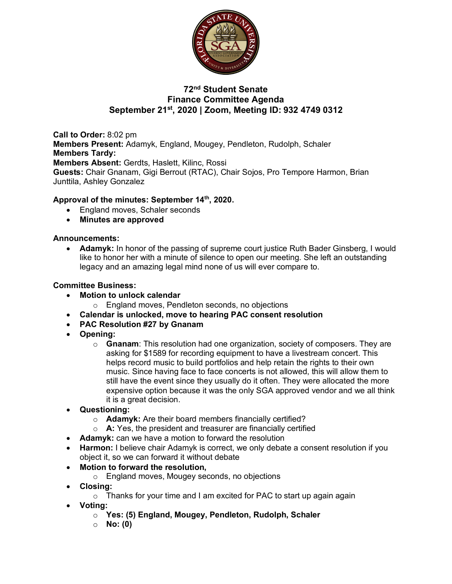

# **72nd Student Senate Finance Committee Agenda September 21st, 2020 | Zoom, Meeting ID: 932 4749 0312**

**Call to Order:** 8:02 pm **Members Present:** Adamyk, England, Mougey, Pendleton, Rudolph, Schaler **Members Tardy: Members Absent:** Gerdts, Haslett, Kilinc, Rossi **Guests:** Chair Gnanam, Gigi Berrout (RTAC), Chair Sojos, Pro Tempore Harmon, Brian Junttila, Ashley Gonzalez

## **Approval of the minutes: September 14th, 2020.**

- England moves, Schaler seconds
- **Minutes are approved**

### **Announcements:**

• **Adamyk:** In honor of the passing of supreme court justice Ruth Bader Ginsberg, I would like to honor her with a minute of silence to open our meeting. She left an outstanding legacy and an amazing legal mind none of us will ever compare to.

### **Committee Business:**

- **Motion to unlock calendar** 
	- o England moves, Pendleton seconds, no objections
- **Calendar is unlocked, move to hearing PAC consent resolution**
- **PAC Resolution #27 by Gnanam**
- **Opening:** 
	- o **Gnanam**: This resolution had one organization, society of composers. They are asking for \$1589 for recording equipment to have a livestream concert. This helps record music to build portfolios and help retain the rights to their own music. Since having face to face concerts is not allowed, this will allow them to still have the event since they usually do it often. They were allocated the more expensive option because it was the only SGA approved vendor and we all think it is a great decision.
- **Questioning:**
	- o **Adamyk:** Are their board members financially certified?
	- o **A:** Yes, the president and treasurer are financially certified
- **Adamyk:** can we have a motion to forward the resolution
- **Harmon:** I believe chair Adamyk is correct, we only debate a consent resolution if you object it, so we can forward it without debate
- **Motion to forward the resolution,** 
	- o England moves, Mougey seconds, no objections
- **Closing:** 
	- o Thanks for your time and I am excited for PAC to start up again again
- **Voting:** 
	- o **Yes: (5) England, Mougey, Pendleton, Rudolph, Schaler**
	- o **No: (0)**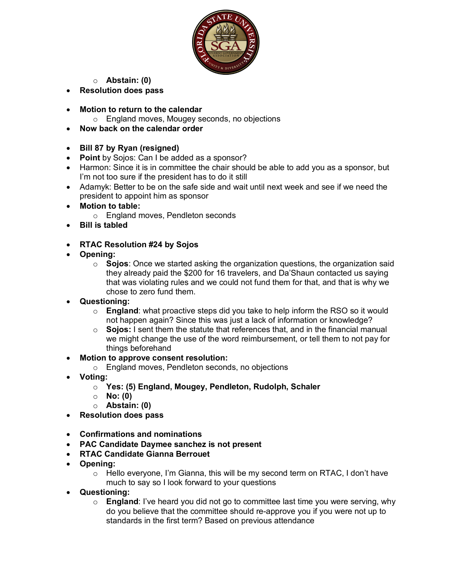

- o **Abstain: (0)**
- **Resolution does pass**
- **Motion to return to the calendar**
	- o England moves, Mougey seconds, no objections
- **Now back on the calendar order**
- **Bill 87 by Ryan (resigned)**
- **Point** by Sojos: Can I be added as a sponsor?
- Harmon: Since it is in committee the chair should be able to add you as a sponsor, but I'm not too sure if the president has to do it still
- Adamyk: Better to be on the safe side and wait until next week and see if we need the president to appoint him as sponsor
- **Motion to table:** 
	- o England moves, Pendleton seconds
- **Bill is tabled**
- **RTAC Resolution #24 by Sojos**
- **Opening:** 
	- o **Sojos**: Once we started asking the organization questions, the organization said they already paid the \$200 for 16 travelers, and Da'Shaun contacted us saying that was violating rules and we could not fund them for that, and that is why we chose to zero fund them.
- **Questioning:** 
	- o **England**: what proactive steps did you take to help inform the RSO so it would not happen again? Since this was just a lack of information or knowledge?
	- o **Sojos:** I sent them the statute that references that, and in the financial manual we might change the use of the word reimbursement, or tell them to not pay for things beforehand
- **Motion to approve consent resolution:** 
	- o England moves, Pendleton seconds, no objections
- **Voting:** 
	- o **Yes: (5) England, Mougey, Pendleton, Rudolph, Schaler**
	- o **No: (0)**
	- o **Abstain: (0)**
- **Resolution does pass**
- **Confirmations and nominations**
- **PAC Candidate Daymee sanchez is not present**
- **RTAC Candidate Gianna Berrouet**
- **Opening:** 
	- $\circ$  Hello everyone, I'm Gianna, this will be my second term on RTAC, I don't have much to say so I look forward to your questions
- **Questioning:** 
	- o **England**: I've heard you did not go to committee last time you were serving, why do you believe that the committee should re-approve you if you were not up to standards in the first term? Based on previous attendance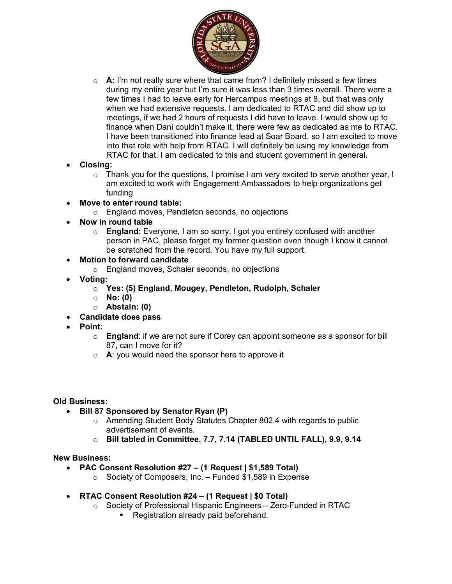

- o **A:** I'm not really sure where that came from? I definitely missed a few times during my entire year but I'm sure it was less than 3 times overall. There were a few times I had to leave early for Hercampus meetings at 8, but that was only when we had extensive requests. I am dedicated to RTAC and did show up to meetings, if we had 2 hours of requests I did have to leave. I would show up to finance when Dani couldn't make it, there were few as dedicated as me to RTAC. I have been transitioned into finance lead at Soar Board, so I am excited to move into that role with help from RTAC. I will definitely be using my knowledge from RTAC for that, I am dedicated to this and student government in general**.**
- **Closing:** 
	- o Thank you for the questions, I promise I am very excited to serve another year, I am excited to work with Engagement Ambassadors to help organizations get funding
- **Move to enter round table:** 
	- o England moves, Pendleton seconds, no objections
- **Now in round table**
	- o **England:** Everyone, I am so sorry, I got you entirely confused with another person in PAC, please forget my former question even though I know it cannot be scratched from the record. You have my full support.
- **Motion to forward candidate**
	- o England moves, Schaler seconds, no objections
- **Voting:** 
	- o **Yes: (5) England, Mougey, Pendleton, Rudolph, Schaler**
	- o **No: (0)**
	- o **Abstain: (0)**
- **Candidate does pass**
- **Point:**
	- o **England**: if we are not sure if Corey can appoint someone as a sponsor for bill 87, can I move for it?
	- o **A**: you would need the sponsor here to approve it

#### **Old Business:**

- **Bill 87 Sponsored by Senator Ryan (P)**
	- o Amending Student Body Statutes Chapter 802.4 with regards to public advertisement of events.
	- o **Bill tabled in Committee, 7.7, 7.14 (TABLED UNTIL FALL), 9.9, 9.14**

### **New Business:**

- **PAC Consent Resolution #27 – (1 Request | \$1,589 Total)**
	- $\circ$  Society of Composers, Inc. Funded \$1,589 in Expense
- **RTAC Consent Resolution #24 – (1 Request | \$0 Total)**
	- o Society of Professional Hispanic Engineers Zero-Funded in RTAC
		- Registration already paid beforehand.